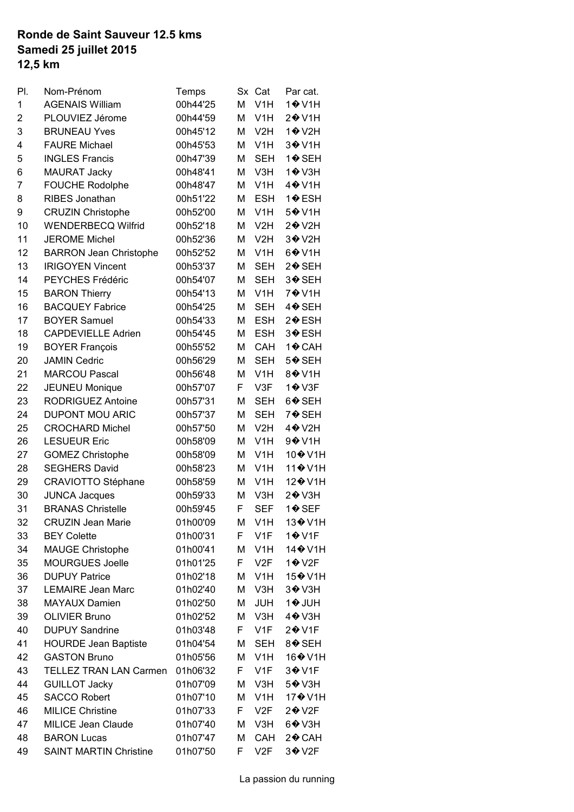## **Samedi 25 juillet 2015 12,5 km Ronde de Saint Sauveur 12.5 kms**

| PI.            | Nom-Prénom                    | Temps    | Sx | Cat              | Par cat.                                |
|----------------|-------------------------------|----------|----|------------------|-----------------------------------------|
| 1              | <b>AGENAIS William</b>        | 00h44'25 | M  | V <sub>1</sub> H | 1 <sup>o</sup> ∨1H                      |
| $\overline{2}$ | PLOUVIEZ Jérome               | 00h44'59 | M  | V <sub>1</sub> H | 2 <b>→</b> V1H                          |
| 3              | <b>BRUNEAU Yves</b>           | 00h45'12 | M  | V2H              | 1 <b>♦</b> V2H                          |
| 4              | <b>FAURE Michael</b>          | 00h45'53 | M  | V <sub>1</sub> H | 3 <sup>+</sup> V1H                      |
| 5              | <b>INGLES Francis</b>         | 00h47'39 | M  | <b>SEH</b>       | 1 <b>♦</b> SEH                          |
| 6              | <b>MAURAT Jacky</b>           | 00h48'41 | M  | V3H              | 1 <b>♦</b> V3H                          |
| 7              | <b>FOUCHE Rodolphe</b>        | 00h48'47 | M  | V <sub>1</sub> H | 4 <sup><math>\odot</math></sup> V1H     |
| 8              | <b>RIBES Jonathan</b>         | 00h51'22 | M  | <b>ESH</b>       | 1 <b>♦</b> ESH                          |
| 9              | <b>CRUZIN Christophe</b>      | 00h52'00 | M  | V <sub>1</sub> H | 5 <sup><math>big</math></sup> V1H       |
| 10             | <b>WENDERBECQ Wilfrid</b>     | 00h52'18 | M  | V2H              | 2� V2H                                  |
| 11             | <b>JEROME Michel</b>          | 00h52'36 | M  | V2H              | 3 <b><sup>O</sup></b> V2H               |
| 12             | <b>BARRON Jean Christophe</b> | 00h52'52 | M  | V <sub>1</sub> H | $6 ①$ V1H                               |
| 13             | <b>IRIGOYEN Vincent</b>       | 00h53'37 | M  | <b>SEH</b>       | 2�SEH                                   |
| 14             | PEYCHES Frédéric              | 00h54'07 | M  | <b>SEH</b>       | 3♦ SEH                                  |
| 15             | <b>BARON Thierry</b>          | 00h54'13 | M  | V <sub>1</sub> H | 7 <b>↔</b> 11H                          |
| 16             | <b>BACQUEY Fabrice</b>        | 00h54'25 | M  | <b>SEH</b>       | 4�SEH                                   |
| 17             | <b>BOYER Samuel</b>           | 00h54'33 | M  | <b>ESH</b>       | 2 <b></b> €SH                           |
| 18             | <b>CAPDEVIELLE Adrien</b>     | 00h54'45 | M  | <b>ESH</b>       | 3 <b></b> €SH                           |
| 19             | <b>BOYER François</b>         | 00h55'52 | M  | CAH              | 1� CAH                                  |
| 20             | <b>JAMIN Cedric</b>           | 00h56'29 | M  | <b>SEH</b>       | 5 <b>→</b> SEH                          |
| 21             | <b>MARCOU Pascal</b>          | 00h56'48 | M  | V <sub>1</sub> H | 8 <sup><math>\diamond</math></sup> V1H  |
| 22             | <b>JEUNEU Monique</b>         | 00h57'07 | F  | V3F              | 1 <b>↔</b> V3F                          |
| 23             | RODRIGUEZ Antoine             | 00h57'31 | M  | <b>SEH</b>       | 6�SEH                                   |
| 24             | <b>DUPONT MOU ARIC</b>        | 00h57'37 | M  | <b>SEH</b>       | 7♦ SEH                                  |
|                | <b>CROCHARD Michel</b>        |          |    | V2H              | 4 <b>↔</b> V2H                          |
| 25             |                               | 00h57'50 | M  |                  |                                         |
| 26             | <b>LESUEUR Eric</b>           | 00h58'09 | M  | V <sub>1</sub> H | 9 $\diamond$ V1H                        |
| 27             | <b>GOMEZ Christophe</b>       | 00h58'09 | M  | V <sub>1</sub> H | 10 <sup>→</sup> V1H                     |
| 28             | <b>SEGHERS David</b>          | 00h58'23 | M  | V <sub>1</sub> H | 11 <sup><math>\div</math></sup> V1H     |
| 29             | CRAVIOTTO Stéphane            | 00h58'59 | M  | V <sub>1</sub> H | 12� V1H                                 |
| 30             | <b>JUNCA Jacques</b>          | 00h59'33 | M  | V3H              | $2 ①$ V3H                               |
| 31             | <b>BRANAS Christelle</b>      | 00h59'45 | F  | <b>SEF</b>       | 1�SEF                                   |
| 32             | CRUZIN Jean Marie             | 01h00'09 | M  | V <sub>1</sub> H | 13 <sup>→</sup> V1H                     |
| 33             | <b>BEY Colette</b>            | 01h00'31 | F. | V <sub>1</sub> F | $1 ①$ V1F                               |
| 34             | <b>MAUGE Christophe</b>       | 01h00'41 | M  | V <sub>1</sub> H | 14 <sup><math>\bullet</math></sup> V1H  |
| 35             | <b>MOURGUES Joelle</b>        | 01h01'25 | F. | V2F              | $1$ $\odot$ V2F                         |
| 36             | <b>DUPUY Patrice</b>          | 01h02'18 | М  | V <sub>1</sub> H | 15 <sup><math>\diamond</math></sup> V1H |
| 37             | <b>LEMAIRE Jean Marc</b>      | 01h02'40 | M  | V3H              | 3 <sup>o</sup> V3H                      |
| 38             | <b>MAYAUX Damien</b>          | 01h02'50 | M  | JUH              | 1♦ JUH                                  |
| 39             | <b>OLIVIER Bruno</b>          | 01h02'52 | M  | V3H              | 4 <b>↔</b> V3H                          |
| 40             | <b>DUPUY Sandrine</b>         | 01h03'48 | F. | V <sub>1</sub> F | $2 ①$ V1F                               |
| 41             | <b>HOURDE Jean Baptiste</b>   | 01h04'54 | M  | SEH              | 8♦ SEH                                  |
| 42             | <b>GASTON Bruno</b>           | 01h05'56 | M  | V <sub>1</sub> H | 16 <sup><math>\diamond</math></sup> V1H |
| 43             | <b>TELLEZ TRAN LAN Carmen</b> | 01h06'32 | F  | V1F              | 3 <b>♦</b> V1F                          |
| 44             | <b>GUILLOT Jacky</b>          | 01h07'09 | M  | V3H              | 5 <b>♦</b> V3H                          |
| 45             | <b>SACCO Robert</b>           | 01h07'10 | M  | V <sub>1</sub> H | 17� V1H                                 |
| 46             | <b>MILICE Christine</b>       | 01h07'33 | F  | V2F              | $2 ①$ V2F                               |
| 47             | MILICE Jean Claude            | 01h07'40 | M  | V3H              | $6 ①$ V3H                               |
| 48             | <b>BARON Lucas</b>            | 01h07'47 | M  | CAH              | 2♦ CAH                                  |
| 49             | <b>SAINT MARTIN Christine</b> | 01h07'50 | F  | V2F              | 3 <sup>◆</sup> V2F                      |